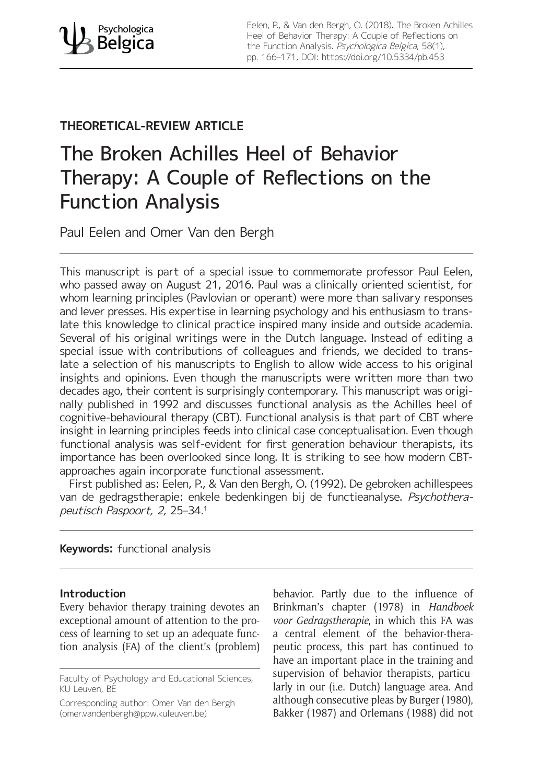Eelen, P., & Van den Bergh, O. (2018). The Broken Achilles Heel of Behavior Therapy: A Couple of Reflections on the Function Analysis. Psychologica Belgica, 58(1), pp. 166–171, DOI: <https://doi.org/10.5334/pb.453>

## **THEORETICAL-REVIEW ARTICLE**

# The Broken Achilles Heel of Behavior Therapy: A Couple of Reflections on the Function Analysis

Paul Eelen and Omer Van den Bergh

This manuscript is part of a special issue to commemorate professor Paul Eelen, who passed away on August 21, 2016. Paul was a clinically oriented scientist, for whom learning principles (Pavlovian or operant) were more than salivary responses and lever presses. His expertise in learning psychology and his enthusiasm to translate this knowledge to clinical practice inspired many inside and outside academia. Several of his original writings were in the Dutch language. Instead of editing a special issue with contributions of colleagues and friends, we decided to translate a selection of his manuscripts to English to allow wide access to his original insights and opinions. Even though the manuscripts were written more than two decades ago, their content is surprisingly contemporary. This manuscript was originally published in 1992 and discusses functional analysis as the Achilles heel of cognitive-behavioural therapy (CBT). Functional analysis is that part of CBT where insight in learning principles feeds into clinical case conceptualisation. Even though functional analysis was self-evident for first generation behaviour therapists, its importance has been overlooked since long. It is striking to see how modern CBTapproaches again incorporate functional assessment.

First published as: Eelen, P., & Van den Bergh, O. (1992). De gebroken achillespees van de gedragstherapie: enkele bedenkingen bij de functieanalyse. Psychotherapeutisch Paspoort, 2, 25–34.1

### **Keywords:** functional analysis

#### **Introduction**

Every behavior therapy training devotes an exceptional amount of attention to the process of learning to set up an adequate function analysis (FA) of the client's (problem)

Corresponding author: Omer Van den Bergh ([omer.vandenbergh@ppw.kuleuven.be](mailto:omer.vandenbergh@ppw.kuleuven.be))

behavior. Partly due to the influence of Brinkman's chapter (1978) in *Handboek voor Gedragstherapie*, in which this FA was a central element of the behavior-therapeutic process, this part has continued to have an important place in the training and supervision of behavior therapists, particularly in our (i.e. Dutch) language area. And although consecutive pleas by Burger (1980), Bakker (1987) and Orlemans (1988) did not

Faculty of Psychology and Educational Sciences, KU Leuven, BE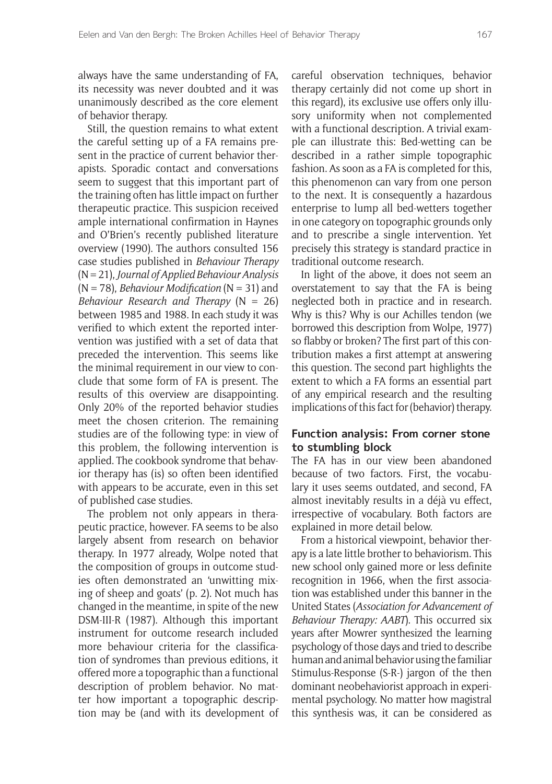always have the same understanding of FA, its necessity was never doubted and it was unanimously described as the core element of behavior therapy.

Still, the question remains to what extent the careful setting up of a FA remains present in the practice of current behavior therapists. Sporadic contact and conversations seem to suggest that this important part of the training often has little impact on further therapeutic practice. This suspicion received ample international confirmation in Haynes and O'Brien's recently published literature overview (1990). The authors consulted 156 case studies published in *Behaviour Therapy* (N= 21), *Journal of Applied Behaviour Analysis* (N = 78), *Behaviour Modification* (N = 31) and *Behaviour Research and Therapy* (N = 26) between 1985 and 1988. In each study it was verified to which extent the reported intervention was justified with a set of data that preceded the intervention. This seems like the minimal requirement in our view to conclude that some form of FA is present. The results of this overview are disappointing. Only 20% of the reported behavior studies meet the chosen criterion. The remaining studies are of the following type: in view of this problem, the following intervention is applied. The cookbook syndrome that behavior therapy has (is) so often been identified with appears to be accurate, even in this set of published case studies.

The problem not only appears in therapeutic practice, however. FA seems to be also largely absent from research on behavior therapy. In 1977 already, Wolpe noted that the composition of groups in outcome studies often demonstrated an 'unwitting mixing of sheep and goats' (p. 2). Not much has changed in the meantime, in spite of the new DSM-III-R (1987). Although this important instrument for outcome research included more behaviour criteria for the classification of syndromes than previous editions, it offered more a topographic than a functional description of problem behavior. No matter how important a topographic description may be (and with its development of careful observation techniques, behavior therapy certainly did not come up short in this regard), its exclusive use offers only illusory uniformity when not complemented with a functional description. A trivial example can illustrate this: Bed-wetting can be described in a rather simple topographic fashion. As soon as a FA is completed for this, this phenomenon can vary from one person to the next. It is consequently a hazardous enterprise to lump all bed-wetters together in one category on topographic grounds only and to prescribe a single intervention. Yet precisely this strategy is standard practice in traditional outcome research.

In light of the above, it does not seem an overstatement to say that the FA is being neglected both in practice and in research. Why is this? Why is our Achilles tendon (we borrowed this description from Wolpe, 1977) so flabby or broken? The first part of this contribution makes a first attempt at answering this question. The second part highlights the extent to which a FA forms an essential part of any empirical research and the resulting implications of this fact for (behavior) therapy.

#### **Function analysis: From corner stone to stumbling block**

The FA has in our view been abandoned because of two factors. First, the vocabulary it uses seems outdated, and second, FA almost inevitably results in a déjà vu effect, irrespective of vocabulary. Both factors are explained in more detail below.

From a historical viewpoint, behavior therapy is a late little brother to behaviorism. This new school only gained more or less definite recognition in 1966, when the first association was established under this banner in the United States (*Association for Advancement of Behaviour Therapy: AABT*). This occurred six years after Mowrer synthesized the learning psychology of those days and tried to describe human and animal behavior using the familiar Stimulus-Response (S-R-) jargon of the then dominant neobehaviorist approach in experimental psychology. No matter how magistral this synthesis was, it can be considered as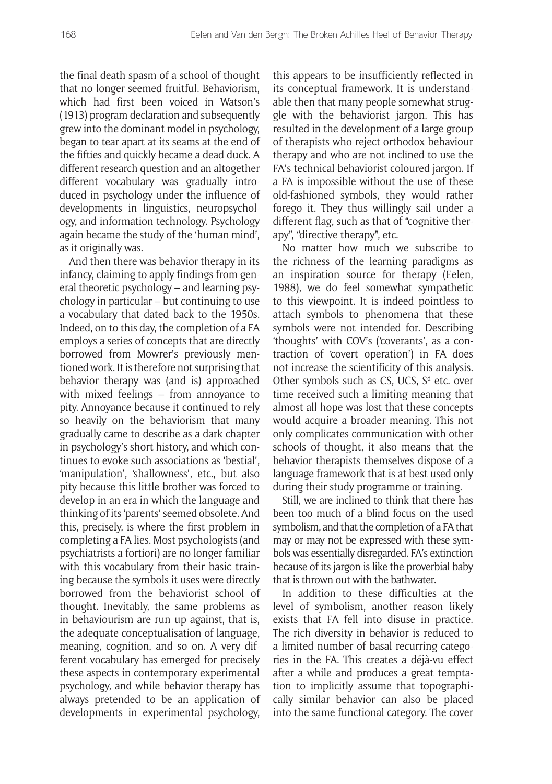the final death spasm of a school of thought that no longer seemed fruitful. Behaviorism, which had first been voiced in Watson's (1913) program declaration and subsequently grew into the dominant model in psychology, began to tear apart at its seams at the end of the fifties and quickly became a dead duck. A different research question and an altogether different vocabulary was gradually introduced in psychology under the influence of developments in linguistics, neuropsychology, and information technology. Psychology again became the study of the 'human mind', as it originally was.

And then there was behavior therapy in its infancy, claiming to apply findings from general theoretic psychology – and learning psychology in particular – but continuing to use a vocabulary that dated back to the 1950s. Indeed, on to this day, the completion of a FA employs a series of concepts that are directly borrowed from Mowrer's previously mentioned work. It is therefore not surprising that behavior therapy was (and is) approached with mixed feelings – from annoyance to pity. Annoyance because it continued to rely so heavily on the behaviorism that many gradually came to describe as a dark chapter in psychology's short history, and which continues to evoke such associations as 'bestial', 'manipulation', 'shallowness', etc., but also pity because this little brother was forced to develop in an era in which the language and thinking of its 'parents' seemed obsolete. And this, precisely, is where the first problem in completing a FA lies. Most psychologists (and psychiatrists a fortiori) are no longer familiar with this vocabulary from their basic training because the symbols it uses were directly borrowed from the behaviorist school of thought. Inevitably, the same problems as in behaviourism are run up against, that is, the adequate conceptualisation of language, meaning, cognition, and so on. A very different vocabulary has emerged for precisely these aspects in contemporary experimental psychology, and while behavior therapy has always pretended to be an application of developments in experimental psychology, this appears to be insufficiently reflected in its conceptual framework. It is understandable then that many people somewhat struggle with the behaviorist jargon. This has resulted in the development of a large group of therapists who reject orthodox behaviour therapy and who are not inclined to use the FA's technical-behaviorist coloured jargon. If a FA is impossible without the use of these old-fashioned symbols, they would rather forego it. They thus willingly sail under a different flag, such as that of "cognitive therapy", "directive therapy", etc.

No matter how much we subscribe to the richness of the learning paradigms as an inspiration source for therapy (Eelen, 1988), we do feel somewhat sympathetic to this viewpoint. It is indeed pointless to attach symbols to phenomena that these symbols were not intended for. Describing 'thoughts' with COV's ('coverants', as a contraction of 'covert operation') in FA does not increase the scientificity of this analysis. Other symbols such as  $CS$ , UCS,  $S<sup>d</sup>$  etc. over time received such a limiting meaning that almost all hope was lost that these concepts would acquire a broader meaning. This not only complicates communication with other schools of thought, it also means that the behavior therapists themselves dispose of a language framework that is at best used only during their study programme or training.

Still, we are inclined to think that there has been too much of a blind focus on the used symbolism, and that the completion of a FA that may or may not be expressed with these symbols was essentially disregarded. FA's extinction because of its jargon is like the proverbial baby that is thrown out with the bathwater.

In addition to these difficulties at the level of symbolism, another reason likely exists that FA fell into disuse in practice. The rich diversity in behavior is reduced to a limited number of basal recurring categories in the FA. This creates a déjà-vu effect after a while and produces a great temptation to implicitly assume that topographically similar behavior can also be placed into the same functional category. The cover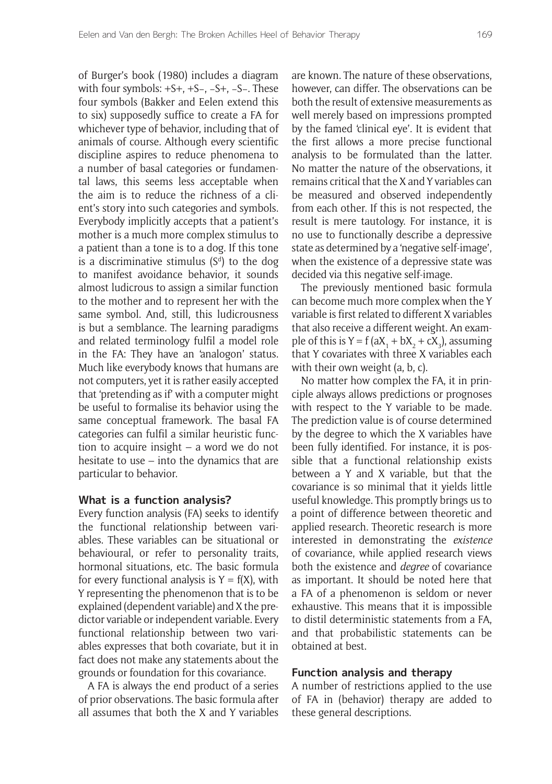of Burger's book (1980) includes a diagram with four symbols: +S+, +S−, −S+, −S−. These four symbols (Bakker and Eelen extend this to six) supposedly suffice to create a FA for whichever type of behavior, including that of animals of course. Although every scientific discipline aspires to reduce phenomena to a number of basal categories or fundamental laws, this seems less acceptable when the aim is to reduce the richness of a client's story into such categories and symbols. Everybody implicitly accepts that a patient's mother is a much more complex stimulus to a patient than a tone is to a dog. If this tone is a discriminative stimulus  $(S<sup>d</sup>)$  to the dog to manifest avoidance behavior, it sounds almost ludicrous to assign a similar function to the mother and to represent her with the same symbol. And, still, this ludicrousness is but a semblance. The learning paradigms and related terminology fulfil a model role in the FA: They have an 'analogon' status. Much like everybody knows that humans are not computers, yet it is rather easily accepted that 'pretending as if' with a computer might be useful to formalise its behavior using the same conceptual framework. The basal FA categories can fulfil a similar heuristic function to acquire insight – a word we do not hesitate to use – into the dynamics that are particular to behavior.

#### **What is a function analysis?**

Every function analysis (FA) seeks to identify the functional relationship between variables. These variables can be situational or behavioural, or refer to personality traits, hormonal situations, etc. The basic formula for every functional analysis is  $Y = f(X)$ , with Y representing the phenomenon that is to be explained (dependent variable) and X the predictor variable or independent variable. Every functional relationship between two variables expresses that both covariate, but it in fact does not make any statements about the grounds or foundation for this covariance.

A FA is always the end product of a series of prior observations. The basic formula after all assumes that both the X and Y variables are known. The nature of these observations, however, can differ. The observations can be both the result of extensive measurements as well merely based on impressions prompted by the famed 'clinical eye'. It is evident that the first allows a more precise functional analysis to be formulated than the latter. No matter the nature of the observations, it remains critical that the X and Y variables can be measured and observed independently from each other. If this is not respected, the result is mere tautology. For instance, it is no use to functionally describe a depressive state as determined by a 'negative self-image', when the existence of a depressive state was decided via this negative self-image.

The previously mentioned basic formula can become much more complex when the Y variable is first related to different X variables that also receive a different weight. An example of this is  $Y = f(aX_1 + bX_2 + cX_3)$ , assuming that Y covariates with three X variables each with their own weight (a, b, c).

No matter how complex the FA, it in principle always allows predictions or prognoses with respect to the Y variable to be made. The prediction value is of course determined by the degree to which the X variables have been fully identified. For instance, it is possible that a functional relationship exists between a Y and X variable, but that the covariance is so minimal that it yields little useful knowledge. This promptly brings us to a point of difference between theoretic and applied research. Theoretic research is more interested in demonstrating the *existence* of covariance, while applied research views both the existence and *degree* of covariance as important. It should be noted here that a FA of a phenomenon is seldom or never exhaustive. This means that it is impossible to distil deterministic statements from a FA, and that probabilistic statements can be obtained at best.

#### **Function analysis and therapy**

A number of restrictions applied to the use of FA in (behavior) therapy are added to these general descriptions.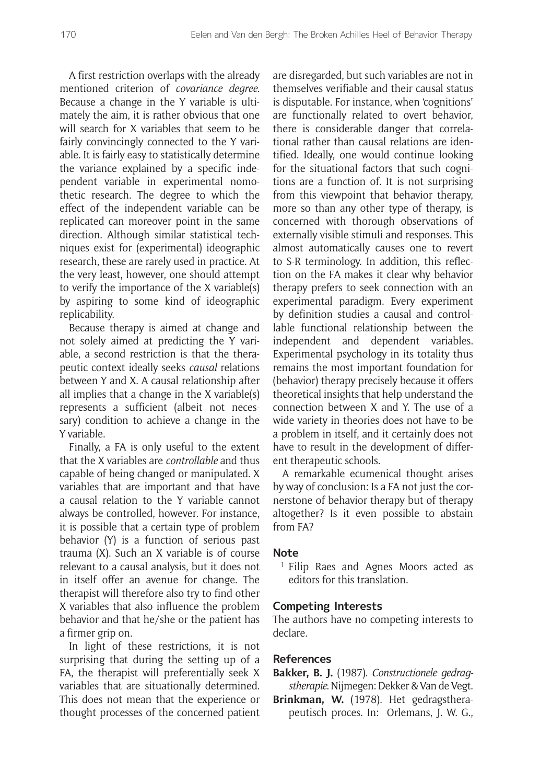A first restriction overlaps with the already mentioned criterion of *covariance degree*. Because a change in the Y variable is ultimately the aim, it is rather obvious that one will search for X variables that seem to be fairly convincingly connected to the Y variable. It is fairly easy to statistically determine the variance explained by a specific independent variable in experimental nomothetic research. The degree to which the effect of the independent variable can be replicated can moreover point in the same direction. Although similar statistical techniques exist for (experimental) ideographic research, these are rarely used in practice. At the very least, however, one should attempt to verify the importance of the X variable(s) by aspiring to some kind of ideographic replicability.

Because therapy is aimed at change and not solely aimed at predicting the Y variable, a second restriction is that the therapeutic context ideally seeks *causal* relations between Y and X. A causal relationship after all implies that a change in the X variable(s) represents a sufficient (albeit not necessary) condition to achieve a change in the Y variable.

Finally, a FA is only useful to the extent that the X variables are *controllable* and thus capable of being changed or manipulated. X variables that are important and that have a causal relation to the Y variable cannot always be controlled, however. For instance, it is possible that a certain type of problem behavior (Y) is a function of serious past trauma (X). Such an X variable is of course relevant to a causal analysis, but it does not in itself offer an avenue for change. The therapist will therefore also try to find other X variables that also influence the problem behavior and that he/she or the patient has a firmer grip on.

In light of these restrictions, it is not surprising that during the setting up of a FA, the therapist will preferentially seek X variables that are situationally determined. This does not mean that the experience or thought processes of the concerned patient are disregarded, but such variables are not in themselves verifiable and their causal status is disputable. For instance, when 'cognitions' are functionally related to overt behavior, there is considerable danger that correlational rather than causal relations are identified. Ideally, one would continue looking for the situational factors that such cognitions are a function of. It is not surprising from this viewpoint that behavior therapy, more so than any other type of therapy, is concerned with thorough observations of externally visible stimuli and responses. This almost automatically causes one to revert to S-R terminology. In addition, this reflection on the FA makes it clear why behavior therapy prefers to seek connection with an experimental paradigm. Every experiment by definition studies a causal and controllable functional relationship between the independent and dependent variables. Experimental psychology in its totality thus remains the most important foundation for (behavior) therapy precisely because it offers theoretical insights that help understand the connection between X and Y. The use of a wide variety in theories does not have to be a problem in itself, and it certainly does not have to result in the development of different therapeutic schools.

A remarkable ecumenical thought arises by way of conclusion: Is a FA not just the cornerstone of behavior therapy but of therapy altogether? Is it even possible to abstain from FA?

#### **Note**

<sup>1</sup> Filip Raes and Agnes Moors acted as editors for this translation.

#### **Competing Interests**

The authors have no competing interests to declare.

#### **References**

**Bakker, B. J.** (1987). *Constructionele gedragstherapie*. Nijmegen: Dekker & Van de Vegt.

**Brinkman, W.** (1978). Het gedragstherapeutisch proces. In: Orlemans, J. W. G.,